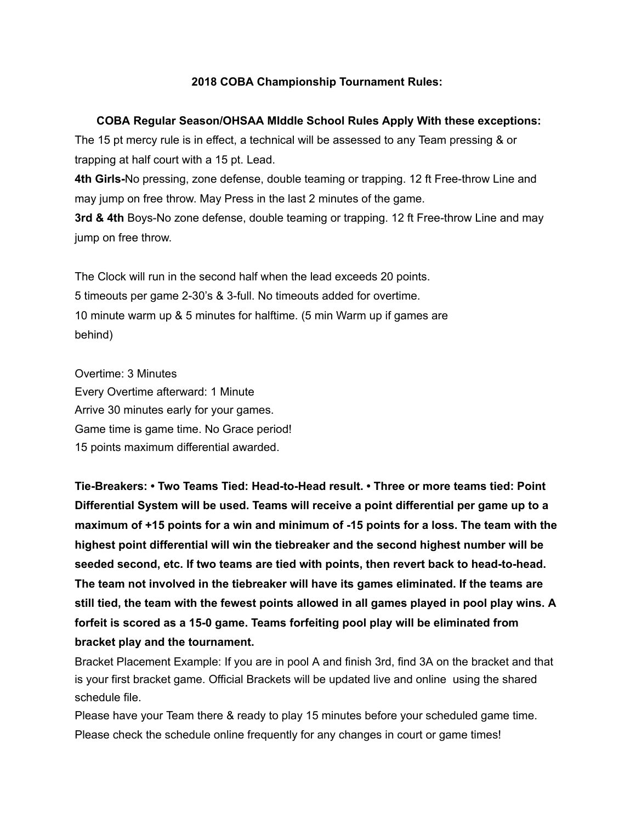## **2018 COBA Championship Tournament Rules:**

## **COBA Regular Season/OHSAA MIddle School Rules Apply With these exceptions:**

The 15 pt mercy rule is in effect, a technical will be assessed to any Team pressing & or trapping at half court with a 15 pt. Lead.

**4th Girls-No pressing, zone defense, double teaming or trapping. 12 ft Free-throw Line and** may jump on free throw. May Press in the last 2 minutes of the game.

**3rd & 4th** Boys-No zone defense, double teaming or trapping. 12 ft Free-throw Line and may jump on free throw.

The Clock will run in the second half when the lead exceeds 20 points. 5 timeouts per game 2-30's & 3-full. No timeouts added for overtime. 10 minute warm up & 5 minutes for halftime. (5 min Warm up if games are behind)

Overtime: 3 Minutes Every Overtime afterward: 1 Minute Arrive 30 minutes early for your games. Game time is game time. No Grace period! 15 points maximum differential awarded.

**TieBreakers: • Two Teams Tied: HeadtoHead result. • Three or more teams tied: Point Differential System will be used. Teams will receive a point differential per game up to a maximum of +15 points for a win and minimum of 15 points for a loss. The team with the highest point differential will win the tiebreaker and the second highest number will be seeded second, etc. If two teams are tied with points, then revert back to headtohead. The team not involved in the tiebreaker will have its games eliminated. If the teams are still tied, the team with the fewest points allowed in all games played in pool play wins. A forfeit is scored as a 150 game. Teams forfeiting pool play will be eliminated from bracket play and the tournament.**

Bracket Placement Example: If you are in pool A and finish 3rd, find 3A on the bracket and that is your first bracket game. Official Brackets will be updated live and online using the shared schedule file.

Please have your Team there & ready to play 15 minutes before your scheduled game time. Please check the schedule online frequently for any changes in court or game times!